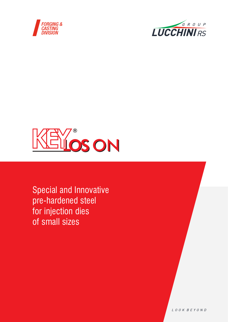





Special and Innovative pre-hardened steel for injection dies of small sizes

LOOK BEYOND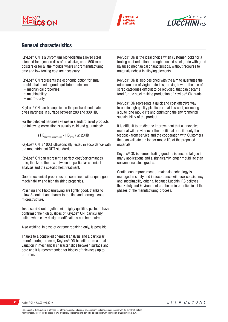





## General characteristics

KeyLos® ON is a Chromium Molybdenum alloyed steel intended for injection dies of small size, up to 500 mm, bolsters or for all the moulds where short manufacturing time and low tooling cost are necessary.

KeyLos® ON represents the economic option for small moulds that need a good equilibrium between:

- mechanical properties;
- machinability;
- micro-purity.

KeyLos® ON can be supplied in the pre-hardened state to gives hardness in surface between 280 and 330 HB.

For the detected hardness values in standard sized products, the following correlation is usually valid and guaranteed:

 $(HB<sub>Surface,min required</sub> - HB<sub>Core</sub>) \leq 20HB$ 

KeyLos® ON is 100% ultrasonically tested in accordance with the most stringent NDT standards.

KeyLos® ON can represent a perfect cost/performances ratio, thanks to the mix between its particular chemical analysis and the specific heat treatment.

Good mechanical properties are combined with a quite good machinability and high finishing properties.

Polishing and Photoengraving are lightly good, thanks to a low S content and thanks to the fine and homogeneous microstructure.

Tests carried out together with highly qualified partners have confirmed the high qualities of KeyLos® ON, particularly suited when easy design modifications can be required.

Also welding, in case of extreme repairing only, is possible.

Thanks to a controlled chemical analysis and a particular manufacturing process, KeyLos® ON benefits from a small variation in mechanical characteristics between surface and core and it is recommended for blocks of thickness up to 500 mm.

KeyLos® ON is the ideal choice when customer looks for a tooling cost reduction, through a suited steel grade with good balanced mechanical characteristics, without recourse to materials richest in alloying elements.

KeyLos® ON is also designed with the aim to guarantee the minimum use of virgin materials, moving toward the use of scrap categories difficult to be recycled, that can became food for the steel making production of KeyLos® ON grade.

KeyLos® ON represents a quick and cost effective way to obtain high quality plastic parts at low cost, collecting a quite long mould life and optimizing the environmental sustainability of the product.

It is difficult to predict the improvement that a innovative material will provide over the traditional one: it's only the feedback from service and the cooperation with Customers that can validate the longer mould life of the proposed materials.

KeyLos® ON is demonstrating good resistance to fatigue in many applications and a significantly longer mould life than conventional steel grades.

Continuous improvement of materials technology is managed in safety and in accordance with eco-consistency and sustainability criteria, because Lucchini RS believes that Safety and Environment are the main priorities in all the phases of the manufacturing process.

**2** KeyLos® ON / Rev.00 / 05.2019

LOOK BEYOND

The content of this brochure is intended for information only and cannot be considered as binding in connection with the supply of material. All information, except for the cases of law, are strictly confidential and can only be disclosed with permission of Lucchini RS S.p.A.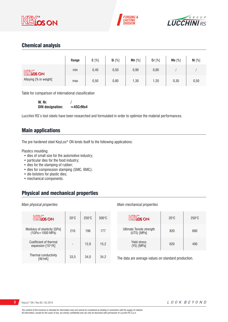





# Chemical analysis

|                                           | Range | $C[\%]$ | Si [%] | $Mn$ [%] | Cr [%] | Mo [%] | Ni [%] |
|-------------------------------------------|-------|---------|--------|----------|--------|--------|--------|
| <b>KEY's</b> ON<br>Alloying [% in weight] | min   | 0,40    | 0,50   | 0,90     | 0,80   |        |        |
|                                           | max   | 0,50    | 0,80   | 1,30     | 1,20   | 0,30   | 0,50   |

Table for comparison of international classification

**W. Nr.**  $/$ <br>DIN designation:  $\approx$ 45CrMo4 **DIN** designation:

Lucchini RS's tool steels have been researched and formulated in order to optimize the material performances.

## Main applications

The pre hardened steel KeyLos® ON lends itself to the following applications:

Plastics moulding:

- dies of small size for the automotive industry;
- particular dies for the food industry;
- dies for the stamping of rubber;
- dies for compression stamping (SMC, BMC);
- die bolsters for plastic dies;
- mechanical components.

# Physical and mechanical properties

#### *Main physical properties*

| <b>KEYOS ON</b>                                | $20^{\circ}$ C | $250^\circ C$ | $500^{\circ}$ C |
|------------------------------------------------|----------------|---------------|-----------------|
| Modulus of elasticity [GPa]<br>(1GPa=1000 MPa) | 210            | 196           | 177             |
| Coefficient of thermal<br>expansion [10-6/K]   |                | 12,8          | 15.2            |
| Thermal conductivity<br>[W/mK]                 | 33,5           | 34.0          | 34,2            |

#### *Main mechanical properties*

| KEYOS ON                                 | $20^{\circ}$ C | $250^\circ C$ |
|------------------------------------------|----------------|---------------|
| Ultimate Tensile strength<br>(UTS) [MPa] | 820            | 680           |
| <b>Yield stress</b><br>(YS) [MPa]        | 620            | 490           |

The data are average values on standard production.

**3** KeyLos® ON / Rev.00 / 05.2019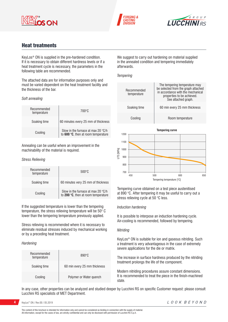





# Heat treatments

KeyLos® ON is supplied in the pre-hardened condition. If it is necessary to obtain different hardness levels or if a heat treatment cycle is necessary, the parameters in the following table are recommended.

The attached data are for information purposes only and must be varied dependent on the heat treatment facility and the thickness of the bar.

#### *Soft annealing*

| Recommended<br>temperature | 700°C                                                                     |
|----------------------------|---------------------------------------------------------------------------|
| Soaking time               | 60 minutes every 25 mm of thickness                                       |
| Cooling                    | Slow in the furnace at max 20 °C/h<br>to 600 °C, then at room temperature |

Annealing can be useful where an improvement in the machinability of the material is required.

#### *Stress Relieving*

| Recommended<br>temperature | $500\degree C$                                                                     |  |  |
|----------------------------|------------------------------------------------------------------------------------|--|--|
| Soaking time               | 60 minutes very 25 mm of thickness                                                 |  |  |
| Cooling                    | Slow in the furnace at max 20 $\degree$ C/h<br>to 200 °C, then at room temperature |  |  |

If the suggested temperature is lower than the tempering temperature, the stress relieving temperature will be 50° C lower than the tempering temperature previously applied.

Stress relieving is recommended where it is necessary to eliminate residual stresses induced by mechanical working or by a preceding heat treatment.

#### *Hardening*

| Recommended<br>temperature | $890^\circ C$                |  |  |
|----------------------------|------------------------------|--|--|
| Soaking time               | 60 min every 25 mm thickness |  |  |
| Cooling                    | Polymer or Water quench      |  |  |

We suggest to carry out hardening on material supplied in the annealed condition and tempering immediately afterwards.

#### *Tempering*



Tempering curve obtained on a test piece austenitised at 890 °C. After tempering it may be useful to carry out a stress relieving cycle at 50 °C less.

### *Induction hardening*

It is possible to interpose an induction hardening cycle. Air-cooling is recommended, followed by tempering.

#### *Nitriding*

KeyLos® ON is suitable for ion and gaseous nitriding. Such a treatment is very advantageous in the case of extremely severe applications for the die or matrix.

The increase in surface hardness produced by the nitriding treatment prolongs the life of the component.

Modern nitriding procedures assure constant dimensions. It is recommended to treat the piece in the finish-machined state.

In any case, other properties can be analyzed and studied deeper by Lucchini RS on specific Customer request: please consult Lucchini RS specialists of MET Department.

**4** KeyLos<sup>®</sup> ON / Rev.00 / 05.2019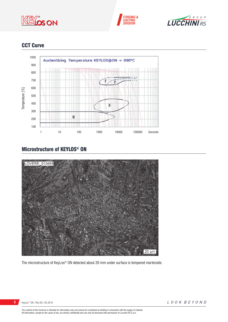





# CCT Curve



# Microstructure of KEYLOS® ON



The microstructure of KeyLos® ON detected about 20 mm under surface is tempered martensite.